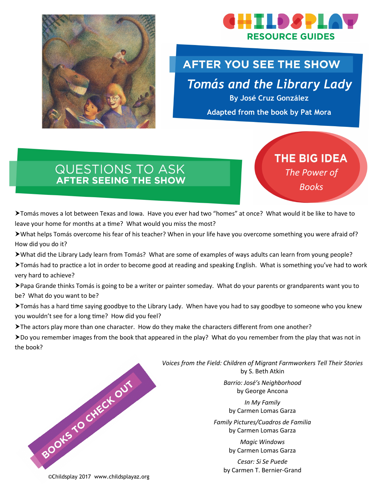



### **AFTER YOU SEE THE SHOW**

*Tomás and the Library Lady* 

**By José Cruz González**

**Adapted from the book by Pat Mora**

# **THE BIG IDEA**

*The Power of Books*

## **QUESTIONS TO ASK AFTER SEEING THE SHOW**

Tomás moves a lot between Texas and Iowa. Have you ever had two "homes" at once? What would it be like to have to leave your home for months at a time? What would you miss the most?

What helps Tomás overcome his fear of his teacher? When in your life have you overcome something you were afraid of? How did you do it?

What did the Library Lady learn from Tomás? What are some of examples of ways adults can learn from young people?

Tomás had to practice a lot in order to become good at reading and speaking English. What is something you've had to work very hard to achieve?

Papa Grande thinks Tomás is going to be a writer or painter someday. What do your parents or grandparents want you to be? What do you want to be?

Tomás has a hard time saying goodbye to the Library Lady. When have you had to say goodbye to someone who you knew you wouldn't see for a long time? How did you feel?

> The actors play more than one character. How do they make the characters different from one another?

Do you remember images from the book that appeared in the play? What do you remember from the play that was not in the book?

> *Voices from the Field: Children of Migrant Farmworkers Tell Their Stories*  by S. Beth Atkin

> > *Barrio: José's Neighborhood* by George Ancona

*In My Family* by Carmen Lomas Garza

*Family Pictures/Cuadros de Familia* by Carmen Lomas Garza

> *Magic Windows* by Carmen Lomas Garza

*Cesar: Si Se Puede* by Carmen T. Bernier-Grand



©Childsplay 2017 www.childsplayaz.org